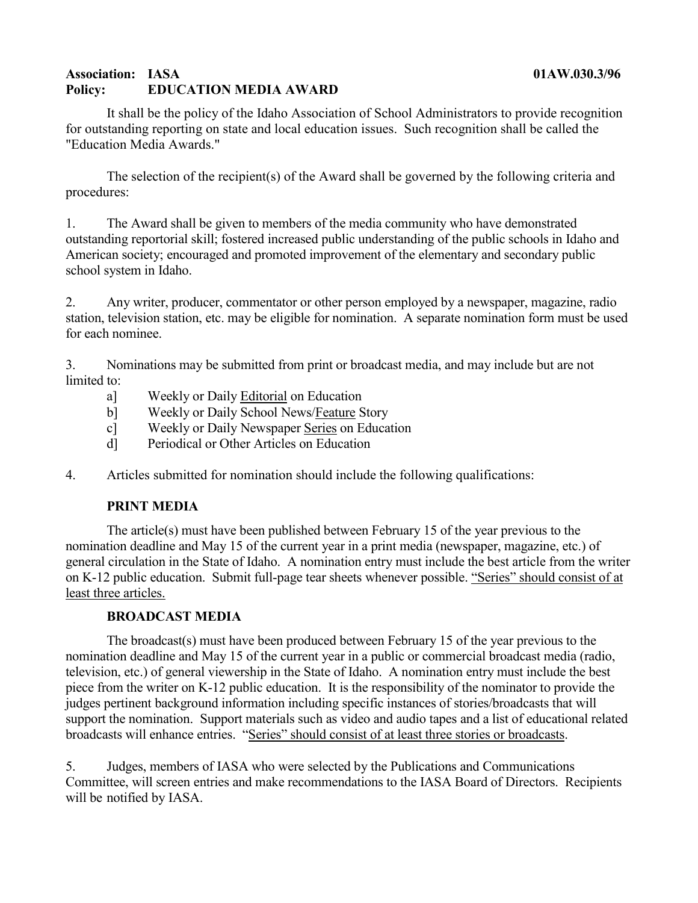### **Association: IASA 01AW.030.3/96 Policy: EDUCATION MEDIA AWARD**

It shall be the policy of the Idaho Association of School Administrators to provide recognition for outstanding reporting on state and local education issues. Such recognition shall be called the "Education Media Awards."

The selection of the recipient(s) of the Award shall be governed by the following criteria and procedures:

1. The Award shall be given to members of the media community who have demonstrated outstanding reportorial skill; fostered increased public understanding of the public schools in Idaho and American society; encouraged and promoted improvement of the elementary and secondary public school system in Idaho.

2. Any writer, producer, commentator or other person employed by a newspaper, magazine, radio station, television station, etc. may be eligible for nomination. A separate nomination form must be used for each nominee.

3. Nominations may be submitted from print or broadcast media, and may include but are not limited to:

- a] Weekly or Daily Editorial on Education
- b] Weekly or Daily School News/Feature Story
- c] Weekly or Daily Newspaper Series on Education
- d] Periodical or Other Articles on Education

4. Articles submitted for nomination should include the following qualifications:

#### **PRINT MEDIA**

The article(s) must have been published between February 15 of the year previous to the nomination deadline and May 15 of the current year in a print media (newspaper, magazine, etc.) of general circulation in the State of Idaho. A nomination entry must include the best article from the writer on K-12 public education. Submit full-page tear sheets whenever possible. "Series" should consist of at least three articles.

#### **BROADCAST MEDIA**

The broadcast(s) must have been produced between February 15 of the year previous to the nomination deadline and May 15 of the current year in a public or commercial broadcast media (radio, television, etc.) of general viewership in the State of Idaho. A nomination entry must include the best piece from the writer on K-12 public education. It is the responsibility of the nominator to provide the judges pertinent background information including specific instances of stories/broadcasts that will support the nomination. Support materials such as video and audio tapes and a list of educational related broadcasts will enhance entries. "Series" should consist of at least three stories or broadcasts.

5. Judges, members of IASA who were selected by the Publications and Communications Committee, will screen entries and make recommendations to the IASA Board of Directors. Recipients will be notified by IASA.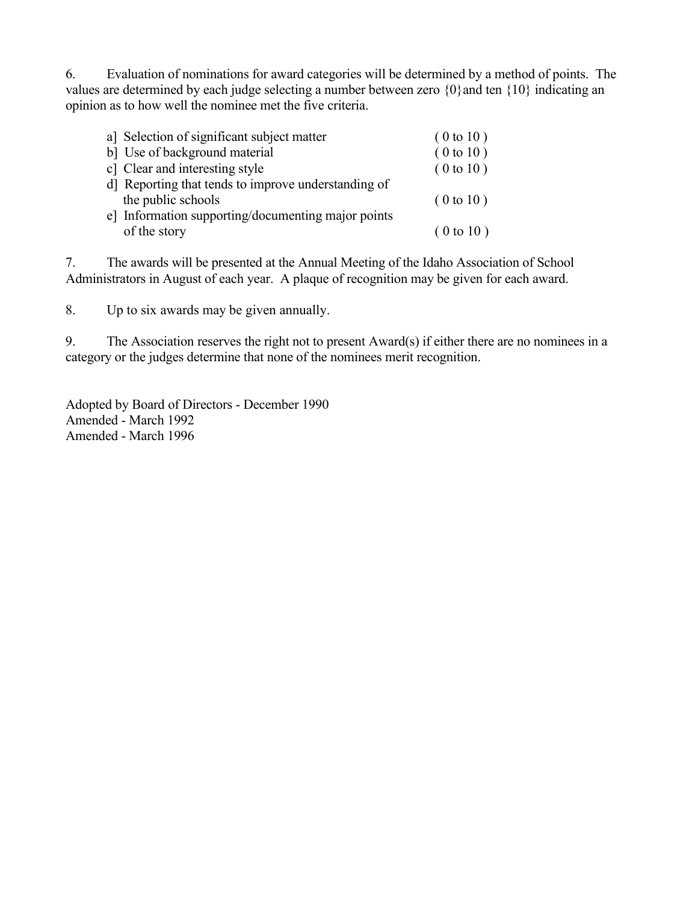6. Evaluation of nominations for award categories will be determined by a method of points. The values are determined by each judge selecting a number between zero  $\{0\}$  and ten  $\{10\}$  indicating an opinion as to how well the nominee met the five criteria.

| a] Selection of significant subject matter          | (0 to 10) |
|-----------------------------------------------------|-----------|
| b] Use of background material                       | (0 to 10) |
| c] Clear and interesting style                      | (0 to 10) |
| d] Reporting that tends to improve understanding of |           |
| the public schools                                  | (0 to 10) |
| e] Information supporting/documenting major points  |           |
| of the story                                        | (0 to 10) |
|                                                     |           |

7. The awards will be presented at the Annual Meeting of the Idaho Association of School Administrators in August of each year. A plaque of recognition may be given for each award.

8. Up to six awards may be given annually.

9. The Association reserves the right not to present Award(s) if either there are no nominees in a category or the judges determine that none of the nominees merit recognition.

Adopted by Board of Directors - December 1990 Amended - March 1992 Amended - March 1996